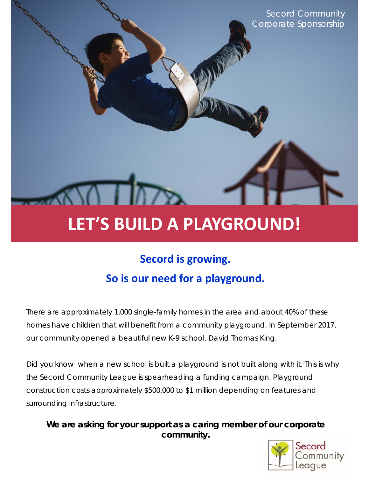Secord Community Corporate Sponsorship

# **LET'S BUILD A PLAYGROUND!**

## **Secord is growing. So is our need for a playground.**

There are approximately 1,000 single-family homes in the area and about 40% of these homes have children that will benefit from a community playground. In September 2017, our community opened a beautiful new K-9 school, David Thomas King.

Did you know when a new school is built a playground is *not* built along with it. This is why the Secord Community League is spearheading a funding campaign. Playground construction costs approximately \$500,000 to \$1 million depending on features and surrounding infrastructure.

**We are asking for your support as a caring member of our corporate community.** 

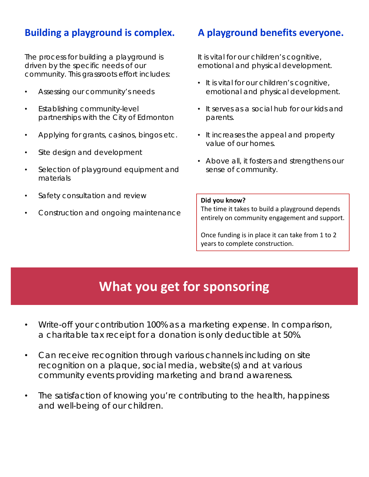#### **Building a playground is complex.**

The process for building a playground is driven by the specific needs of our community. This grassroots effort includes:

- Assessing our community's needs
- Establishing community-level partnerships with the City of Edmonton
- Applying for grants, casinos, bingos etc.
- Site design and development
- Selection of playground equipment and materials
- Safety consultation and review
- Construction and ongoing maintenance

#### **A playground benefits everyone.**

It is vital for our children's cognitive, emotional and physical development.

- It is vital for our children's cognitive, emotional and physical development.
- It serves as a social hub for our kids and parents.
- It increases the appeal and property value of our homes.
- Above all, it fosters and strengthens our sense of community.

#### **Did you know?**

The time it takes to build a playground depends entirely on community engagement and support.

Once funding is in place it can take from 1 to 2 years to complete construction.

## **What you get for sponsoring**

- Write-off your contribution 100% as a marketing expense. In comparison, a charitable tax receipt for a donation is only deductible at 50%.
- Can receive recognition through various channels including on site recognition on a plaque, social media, website(s) and at various community events providing marketing and brand awareness.
- The satisfaction of knowing you're contributing to the health, happiness and well-being of our children.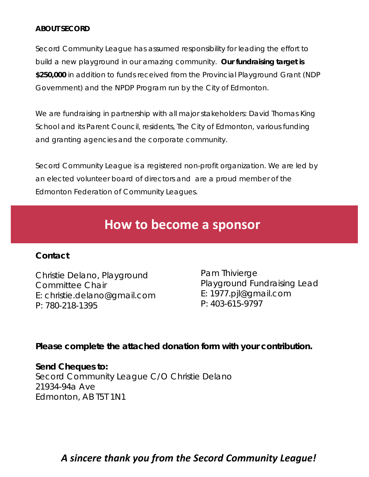#### **ABOUT SECORD**

Secord Community League has assumed responsibility for leading the effort to build a new playground in our amazing community. **Our fundraising target is \$250,000** in addition to funds received from the Provincial Playground Grant (NDP Government) and the NPDP Program run by the City of Edmonton.

We are fundraising in partnership with all major stakeholders: David Thomas King School and its Parent Council, residents, The City of Edmonton, various funding and granting agencies and the corporate community.

Secord Community League is a registered non-profit organization. We are led by an elected volunteer board of directors and are a proud member of the Edmonton Federation of Community Leagues.

## **How to become a sponsor**

#### **Contact**

Christie Delano, Playground Committee Chair E: christie.delano@gmail.com P: 780-218-1395

Pam Thivierge Playground Fundraising Lead E: 1977.pjl@gmail.com P: 403-615-9797

#### **Please complete the attached donation form with your contribution.**

#### **Send Cheques to:**

Secord Community League C/O Christie Delano 21934-94a Ave Edmonton, AB T5T 1N1

#### *A sincere thank you from the Secord Community League!*